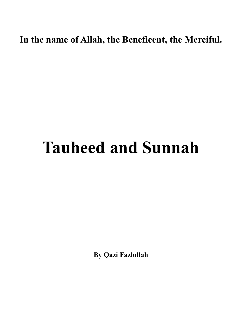**In the name of Allah, the Beneficent, the Merciful.** 

# **Tauheed and Sunnah**

**By Qazi Fazlullah**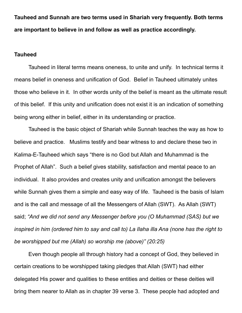**Tauheed and Sunnah are two terms used in Shariah very frequently. Both terms are important to believe in and follow as well as practice accordingly.** 

### **Tauheed**

 Tauheed in literal terms means oneness, to unite and unify. In technical terms it means belief in oneness and unification of God. Belief in Tauheed ultimately unites those who believe in it. In other words unity of the belief is meant as the ultimate result of this belief. If this unity and unification does not exist it is an indication of something being wrong either in belief, either in its understanding or practice.

 Tauheed is the basic object of Shariah while Sunnah teaches the way as how to believe and practice. Muslims testify and bear witness to and declare these two in Kalima-E-Tauheed which says "there is no God but Allah and Muhammad is the Prophet of Allah". Such a belief gives stability, satisfaction and mental peace to an individual. It also provides and creates unity and unification amongst the believers while Sunnah gives them a simple and easy way of life. Tauheed is the basis of Islam and is the call and message of all the Messengers of Allah (SWT). As Allah (SWT) said; *"And we did not send any Messenger before you (O Muhammad (SAS) but we inspired in him (ordered him to say and call to) La Ilaha illa Ana (none has the right to be worshipped but me (Allah) so worship me (above)" (20:25)* 

 Even though people all through history had a concept of God, they believed in certain creations to be worshipped taking pledges that Allah (SWT) had either delegated His power and qualities to these entities and deities or these deities will bring them nearer to Allah as in chapter 39 verse 3. These people had adopted and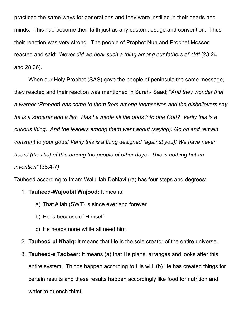practiced the same ways for generations and they were instilled in their hearts and minds. This had become their faith just as any custom, usage and convention. Thus their reaction was very strong. The people of Prophet Nuh and Prophet Mosses reacted and said; *"Never did we hear such a thing among our fathers of old"* (23:24 and 28:36).

 When our Holy Prophet (SAS) gave the people of peninsula the same message, they reacted and their reaction was mentioned in Surah- Saad; "*And they wonder that a warner (Prophet) has come to them from among themselves and the disbelievers say he is a sorcerer and a liar. Has he made all the gods into one God? Verily this is a curious thing. And the leaders among them went about (saying): Go on and remain constant to your gods! Verily this is a thing designed (against you)! We have never heard (the like) of this among the people of other days. This is nothing but an invention"* (38:4-7*)*

Tauheed according to Imam Waliullah Dehlavi (ra) has four steps and degrees:

- 1. **Tauheed-Wujoobil Wujood:** It means;
	- a) That Allah (SWT) is since ever and forever
	- b) He is because of Himself
	- c) He needs none while all need him
- 2. **Tauheed ul Khalq:** It means that He is the sole creator of the entire universe.
- 3. **Tauheed-e Tadbeer:** It means (a) that He plans, arranges and looks after this entire system. Things happen according to His will, (b) He has created things for certain results and these results happen accordingly like food for nutrition and water to quench thirst.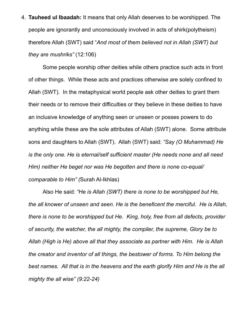4. **Tauheed ul Ibaadah:** It means that only Allah deserves to be worshipped. The people are ignorantly and unconsciously involved in acts of shirk(polytheism) therefore Allah (SWT) said "*And most of them believed not in Allah (SWT) but they are mushriks"* (12:106)

Some people worship other deities while others practice such acts in front of other things. While these acts and practices otherwise are solely confined to Allah (SWT). In the metaphysical world people ask other deities to grant them their needs or to remove their difficulties or they believe in these deities to have an inclusive knowledge of anything seen or unseen or posses powers to do anything while these are the sole attributes of Allah (SWT) alone. Some attribute sons and daughters to Allah (SWT). Allah (SWT) said: *"Say (O Muhammad) He is the only one. He is eternal/self sufficient master (He needs none and all need Him) neither He beget nor was He begotten and there is none co-equal/ comparable to Him" (*Surah Al-Ikhlas)

Also He said: *"He is Allah (SWT) there is none to be worshipped but He, the all knower of unseen and seen. He is the beneficent the merciful. He is Allah, there is none to be worshipped but He. King, holy, free from all defects, provider of security, the watcher, the all mighty, the compiler, the supreme, Glory be to Allah (High is He) above all that they associate as partner with Him. He is Allah the creator and inventor of all things, the bestower of forms. To Him belong the best names. All that is in the heavens and the earth glorify Him and He is the all mighty the all wise" (9:22-24)*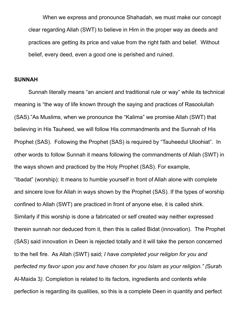When we express and pronounce Shahadah, we must make our concept clear regarding Allah (SWT) to believe in Him in the proper way as deeds and practices are getting its price and value from the right faith and belief. Without belief, every deed, even a good one is perished and ruined.

#### **SUNNAH**

 Sunnah literally means "an ancient and traditional rule or way" while its technical meaning is "the way of life known through the saying and practices of Rasoolullah (SAS)."As Muslims, when we pronounce the "Kalima" we promise Allah (SWT) that believing in His Tauheed, we will follow His commandments and the Sunnah of His Prophet (SAS). Following the Prophet (SAS) is required by "Tauheedul Uloohiat". In other words to follow Sunnah it means following the commandments of Allah (SWT) in the ways shown and practiced by the Holy Prophet (SAS). For example, "Ibadat" (worship): It means to humble yourself in front of Allah alone with complete and sincere love for Allah in ways shown by the Prophet (SAS). If the types of worship confined to Allah (SWT) are practiced in front of anyone else, it is called shirk. Similarly if this worship is done a fabricated or self created way neither expressed therein sunnah nor deduced from it, then this is called Bidat (innovation). The Prophet (SAS) said innovation in Deen is rejected totally and it will take the person concerned to the hell fire. As Allah (SWT) said; *I have completed your religion for you and perfected my favor upon you and have chosen for you Islam as your religion." (*Surah Al-Maida 3*).* Completion is related to its factors, ingredients and contents while perfection is regarding its qualities, so this is a complete Deen in quantity and perfect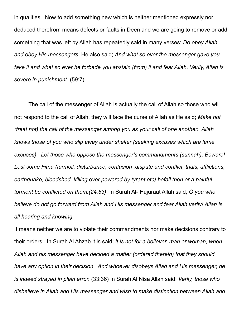in qualities. Now to add something new which is neither mentioned expressly nor deduced therefrom means defects or faults in Deen and we are going to remove or add something that was left by Allah has repeatedly said in many verses; *Do obey Allah and obey His messengers,* He also said; *And what so ever the messenger gave you take it and what so ever he forbade you abstain (from) it and fear Allah. Verily, Allah is severe in punishment.* (59:7)

The call of the messenger of Allah is actually the call of Allah so those who will not respond to the call of Allah, they will face the curse of Allah as He said; *Make not (treat not) the call of the messenger among you as your call of one another. Allah knows those of you who slip away under shelter (seeking excuses which are lame excuses). Let those who oppose the messenger's commandments (sunnah), Beware! Lest some Fitna (turmoil, disturbance, confusion ,dispute and conflict, trials, afflictions, earthquake, bloodshed, killing over powered by tyrant etc) befall then or a painful torment be conflicted on them.(24:63)* In Surah Al- Hujuraat Allah said; *O you who believe do not go forward from Allah and His messenger and fear Allah verily! Allah is all hearing and knowing.* 

It means neither we are to violate their commandments nor make decisions contrary to their orders. In Surah Al Ahzab it is said; *it is not for a believer, man or woman, when Allah and his messenger have decided a matter (ordered therein) that they should have any option in their decision. And whoever disobeys Allah and His messenger, he is indeed strayed in plain error.* (33:36) In Surah Al Nisa Allah said; *Verily, those who disbelieve in Allah and His messenger and wish to make distinction between Allah and*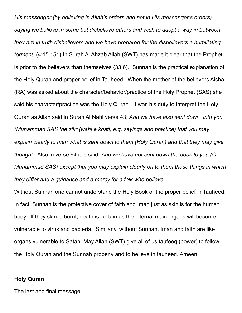*His messenger (by believing in Allah's orders and not in His messenger's orders) saying we believe in some but disbelieve others and wish to adopt a way in between, they are in truth disbelievers and we have prepared for the disbelievers a humiliating torment.* (4:15.151) In Surah Al Ahzab Allah (SWT) has made it clear that the Prophet is prior to the believers than themselves (33:6). Sunnah is the practical explanation of the Holy Quran and proper belief in Tauheed. When the mother of the believers Aisha (RA) was asked about the character/behavior/practice of the Holy Prophet (SAS) she said his character/practice was the Holy Quran. It was his duty to interpret the Holy Quran as Allah said in Surah Al Nahl verse 43; *And we have also sent down unto you (Muhammad SAS the zikr (wahi e khafi; e.g. sayings and practice) that you may explain clearly to men what is sent down to them (Holy Quran) and that they may give thought.* Also in verse 64 it is said; *And we have not sent down the book to you (O Muhammad SAS) except that you may explain clearly on to them those things in which they differ and a guidance and a mercy for a folk who believe.* 

Without Sunnah one cannot understand the Holy Book or the proper belief in Tauheed. In fact, Sunnah is the protective cover of faith and Iman just as skin is for the human body. If they skin is burnt, death is certain as the internal main organs will become vulnerable to virus and bacteria. Similarly, without Sunnah, Iman and faith are like organs vulnerable to Satan. May Allah (SWT) give all of us taufeeq (power) to follow the Holy Quran and the Sunnah properly and to believe in tauheed. Ameen

### **Holy Quran**

#### The last and final message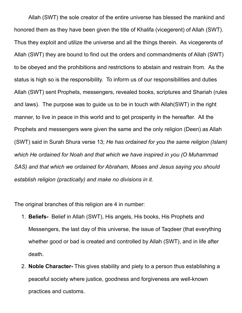Allah (SWT) the sole creator of the entire universe has blessed the mankind and honored them as they have been given the title of Khalifa (vicegerent) of Allah (SWT). Thus they exploit and utilize the universe and all the things therein. As vicegerents of Allah (SWT) they are bound to find out the orders and commandments of Allah (SWT) to be obeyed and the prohibitions and restrictions to abstain and restrain from. As the status is high so is the responsibility. To inform us of our responsibilities and duties Allah (SWT) sent Prophets, messengers, revealed books, scriptures and Shariah (rules and laws). The purpose was to guide us to be in touch with Allah(SWT) in the right manner, to live in peace in this world and to get prosperity in the hereafter. All the Prophets and messengers were given the same and the only religion (Deen) as Allah (SWT) said in Surah Shura verse 13; *He has ordained for you the same religion (Islam) which He ordained for Noah and that which we have inspired in you (O Muhammad SAS) and that which we ordained for Abraham, Moses and Jesus saying you should establish religion (practically) and make no divisions in it.* 

The original branches of this religion are 4 in number:

- 1. **Beliefs-** Belief in Allah (SWT), His angels, His books, His Prophets and Messengers, the last day of this universe, the issue of Taqdeer (that everything whether good or bad is created and controlled by Allah (SWT), and in life after death.
- 2. **Noble Character-** This gives stability and piety to a person thus establishing a peaceful society where justice, goodness and forgiveness are well-known practices and customs.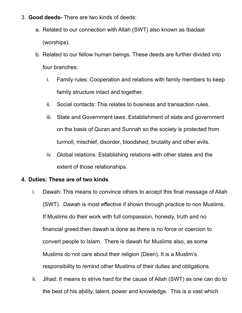- 3. **Good deeds-** There are two kinds of deeds:
	- a. Related to our connection with Allah (SWT) also known as Ibadaat (worships).
	- b. Related to our fellow human beings. These deeds are further divided into four branches;
		- i. Family rules: Cooperation and relations with family members to keep family structure intact and together.
		- ii. Social contacts: This relates to business and transaction rules.
		- iii. State and Government laws: Establishment of state and government on the basis of Quran and Sunnah so the society is protected from turmoil, mischief, disorder, bloodshed, brutality and other evils.
		- iv. Global relations: Establishing relations with other states and the extent of those relationships.

## **4. Duties: These are of two kinds**

- i. Dawah: This means to convince others to accept this final message of Allah (SWT). Dawah is most effective if shown through practice to non Muslims. If Muslims do their work with full compassion, honesty, truth and no financial greed then dawah is done as there is no force or coercion to convert people to Islam. There is dawah for Muslims also, as some Muslims do not care about their religion (Deen). It is a Muslim's responsibility to remind other Muslims of their duties and obligations.
- ii. Jihad: It means to strive hard for the cause of Allah (SWT) as one can do to the best of his ability, talent, power and knowledge. This is a vast which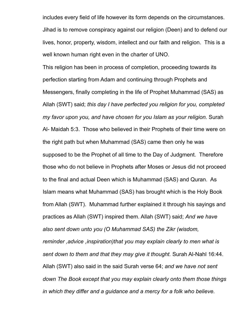includes every field of life however its form depends on the circumstances. Jihad is to remove conspiracy against our religion (Deen) and to defend our lives, honor, property, wisdom, intellect and our faith and religion. This is a well known human right even in the charter of UNO.

This religion has been in process of completion, proceeding towards its perfection starting from Adam and continuing through Prophets and Messengers, finally completing in the life of Prophet Muhammad (SAS) as Allah (SWT) said; *this day I have perfected you religion for you, completed my favor upon you, and have chosen for you Islam as your religion.* Surah Al- Maidah 5:3. Those who believed in their Prophets of their time were on the right path but when Muhammad (SAS) came then only he was supposed to be the Prophet of all time to the Day of Judgment. Therefore those who do not believe in Prophets after Moses or Jesus did not proceed to the final and actual Deen which is Muhammad (SAS) and Quran. As Islam means what Muhammad (SAS) has brought which is the Holy Book from Allah (SWT). Muhammad further explained it through his sayings and practices as Allah (SWT) inspired them. Allah (SWT) said; *And we have also sent down unto you (O Muhammad SAS) the Zikr (wisdom, reminder ,advice ,inspiration)that you may explain clearly to men what is sent down to them and that they may give it thought.* Surah Al-Nahl 16:44. Allah (SWT) also said in the said Surah verse 64; *and we have not sent down The Book except that you may explain clearly onto them those things in which they differ and a guidance and a mercy for a folk who believe.*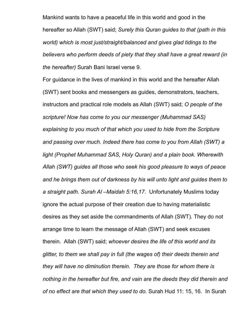Mankind wants to have a peaceful life in this world and good in the hereafter so Allah (SWT) said; *Surely this Quran guides to that (path in this world) which is most just/straight/balanced and gives glad tidings to the believers who perform deeds of piety that they shall have a great reward (in the hereafter)* Surah Bani Israel verse 9.

For guidance in the lives of mankind in this world and the hereafter Allah (SWT) sent books and messengers as guides, demonstrators, teachers, instructors and practical role models as Allah (SWT) said; *O people of the scripture! Now has come to you our messenger (Muhammad SAS) explaining to you much of that which you used to hide from the Scripture and passing over much. Indeed there has come to you from Allah (SWT) a light (Prophet Muhammad SAS, Holy Quran) and a plain book. Wherewith Allah (SWT) guides all those who seek his good pleasure to ways of peace and he brings them out of darkness by his will unto light and guides them to a straight path. Surah Al –Maidah 5:16,17.* Unfortunately Muslims today ignore the actual purpose of their creation due to having materialistic desires as they set aside the commandments of Allah (SWT). They do not arrange time to learn the message of Allah (SWT) and seek excuses therein. Allah (SWT) said; *whoever desires the life of this world and its glitter, to them we shall pay in full (the wages of) their deeds therein and they will have no diminution therein. They are those for whom there is nothing in the hereafter but fire, and vain are the deeds they did therein and of no effect are that which they used to do.* Surah Hud 11: 15, 16. In Surah